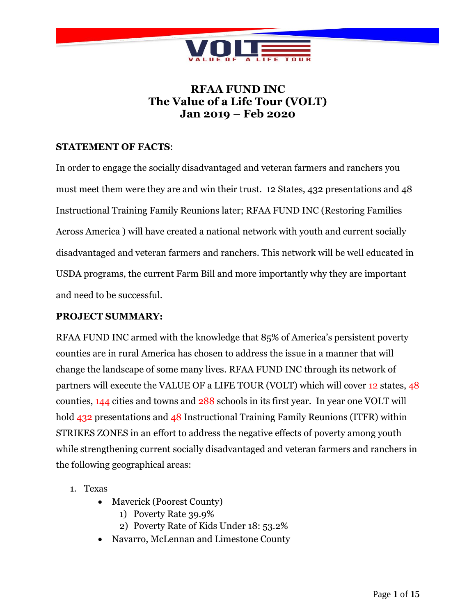

# **RFAA FUND INC The Value of a Life Tour (VOLT) Jan 2019 – Feb 2020**

## **STATEMENT OF FACTS**:

In order to engage the socially disadvantaged and veteran farmers and ranchers you must meet them were they are and win their trust. 12 States, 432 presentations and 48 Instructional Training Family Reunions later; RFAA FUND INC (Restoring Families Across America ) will have created a national network with youth and current socially disadvantaged and veteran farmers and ranchers. This network will be well educated in USDA programs, the current Farm Bill and more importantly why they are important and need to be successful.

## **PROJECT SUMMARY:**

RFAA FUND INC armed with the knowledge that 85% of America's persistent poverty counties are in rural America has chosen to address the issue in a manner that will change the landscape of some many lives. RFAA FUND INC through its network of partners will execute the VALUE OF a LIFE TOUR (VOLT) which will cover 12 states, 48 counties, 144 cities and towns and 288 schools in its first year. In year one VOLT will hold 432 presentations and 48 Instructional Training Family Reunions (ITFR) within STRIKES ZONES in an effort to address the negative effects of poverty among youth while strengthening current socially disadvantaged and veteran farmers and ranchers in the following geographical areas:

- 1. Texas
	- Maverick (Poorest County)
		- 1) Poverty Rate 39.9%
		- 2) Poverty Rate of Kids Under 18: 53.2%
	- Navarro, McLennan and Limestone County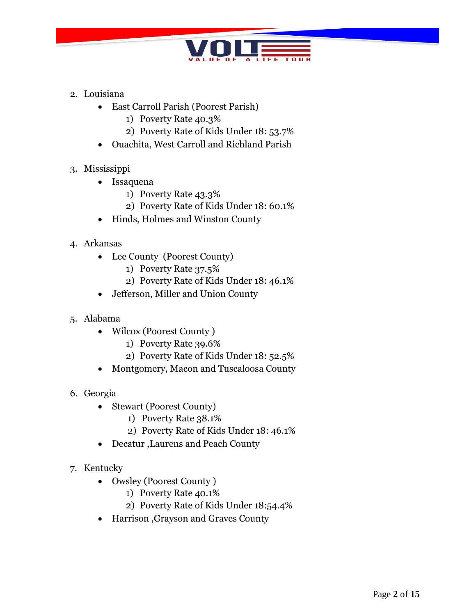

- 2. Louisiana
	- East Carroll Parish (Poorest Parish)
		- 1) Poverty Rate 40.3%
		- 2) Poverty Rate of Kids Under 18: 53.7%
	- Ouachita, West Carroll and Richland Parish
- 3. Mississippi
	- Issaquena
		- 1) Poverty Rate 43.3%
		- 2) Poverty Rate of Kids Under 18: 60.1%
	- Hinds, Holmes and Winston County
- 4. Arkansas
	- Lee County (Poorest County)
		- 1) Poverty Rate 37.5%
		- 2) Poverty Rate of Kids Under 18: 46.1%
	- Jefferson, Miller and Union County
- 5. Alabama
	- Wilcox (Poorest County)
		- 1) Poverty Rate 39.6%
		- 2) Poverty Rate of Kids Under 18: 52.5%
	- Montgomery, Macon and Tuscaloosa County
- 6. Georgia
	- Stewart (Poorest County)
		- 1) Poverty Rate 38.1%
		- 2) Poverty Rate of Kids Under 18: 46.1%
	- Decatur ,Laurens and Peach County
- 7. Kentucky
	- Owsley (Poorest County)
		- 1) Poverty Rate 40.1%
		- 2) Poverty Rate of Kids Under 18:54.4%
	- Harrison ,Grayson and Graves County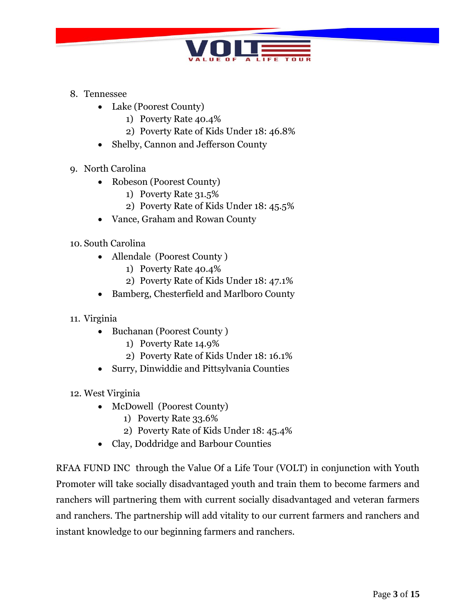

- 8. Tennessee
	- Lake (Poorest County)
		- 1) Poverty Rate 40.4%
		- 2) Poverty Rate of Kids Under 18: 46.8%
	- Shelby, Cannon and Jefferson County
- 9. North Carolina
	- Robeson (Poorest County)
		- 1) Poverty Rate 31.5%
		- 2) Poverty Rate of Kids Under 18: 45.5%
	- Vance, Graham and Rowan County
- 10. South Carolina
	- Allendale (Poorest County )
		- 1) Poverty Rate 40.4%
		- 2) Poverty Rate of Kids Under 18: 47.1%
	- Bamberg, Chesterfield and Marlboro County
- 11. Virginia
	- Buchanan (Poorest County)
		- 1) Poverty Rate 14.9%
		- 2) Poverty Rate of Kids Under 18: 16.1%
	- Surry, Dinwiddie and Pittsylvania Counties
- 12. West Virginia
	- McDowell (Poorest County)
		- 1) Poverty Rate 33.6%
		- 2) Poverty Rate of Kids Under 18: 45.4%
	- Clay, Doddridge and Barbour Counties

RFAA FUND INC through the Value Of a Life Tour (VOLT) in conjunction with Youth Promoter will take socially disadvantaged youth and train them to become farmers and ranchers will partnering them with current socially disadvantaged and veteran farmers and ranchers. The partnership will add vitality to our current farmers and ranchers and instant knowledge to our beginning farmers and ranchers.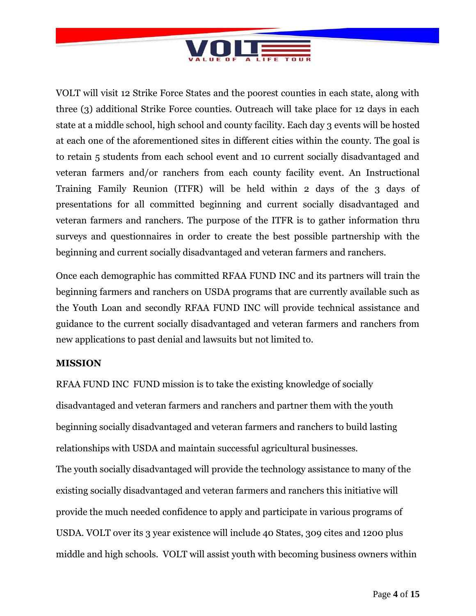

VOLT will visit 12 Strike Force States and the poorest counties in each state, along with three (3) additional Strike Force counties. Outreach will take place for 12 days in each state at a middle school, high school and county facility. Each day 3 events will be hosted at each one of the aforementioned sites in different cities within the county. The goal is to retain 5 students from each school event and 10 current socially disadvantaged and veteran farmers and/or ranchers from each county facility event. An Instructional Training Family Reunion (ITFR) will be held within 2 days of the 3 days of presentations for all committed beginning and current socially disadvantaged and veteran farmers and ranchers. The purpose of the ITFR is to gather information thru surveys and questionnaires in order to create the best possible partnership with the beginning and current socially disadvantaged and veteran farmers and ranchers.

Once each demographic has committed RFAA FUND INC and its partners will train the beginning farmers and ranchers on USDA programs that are currently available such as the Youth Loan and secondly RFAA FUND INC will provide technical assistance and guidance to the current socially disadvantaged and veteran farmers and ranchers from new applications to past denial and lawsuits but not limited to.

## **MISSION**

RFAA FUND INC FUND mission is to take the existing knowledge of socially disadvantaged and veteran farmers and ranchers and partner them with the youth beginning socially disadvantaged and veteran farmers and ranchers to build lasting relationships with USDA and maintain successful agricultural businesses. The youth socially disadvantaged will provide the technology assistance to many of the existing socially disadvantaged and veteran farmers and ranchers this initiative will provide the much needed confidence to apply and participate in various programs of USDA. VOLT over its 3 year existence will include 40 States, 309 cites and 1200 plus middle and high schools. VOLT will assist youth with becoming business owners within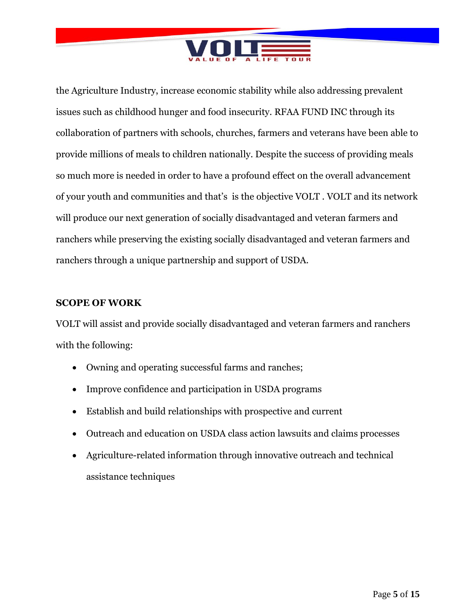

the Agriculture Industry, increase economic stability while also addressing prevalent issues such as childhood hunger and food insecurity. RFAA FUND INC through its collaboration of partners with schools, churches, farmers and veterans have been able to provide millions of meals to children nationally. Despite the success of providing meals so much more is needed in order to have a profound effect on the overall advancement of your youth and communities and that's is the objective VOLT . VOLT and its network will produce our next generation of socially disadvantaged and veteran farmers and ranchers while preserving the existing socially disadvantaged and veteran farmers and ranchers through a unique partnership and support of USDA.

## **SCOPE OF WORK**

VOLT will assist and provide socially disadvantaged and veteran farmers and ranchers with the following:

- Owning and operating successful farms and ranches;
- Improve confidence and participation in USDA programs
- Establish and build relationships with prospective and current
- Outreach and education on USDA class action lawsuits and claims processes
- Agriculture-related information through innovative outreach and technical assistance techniques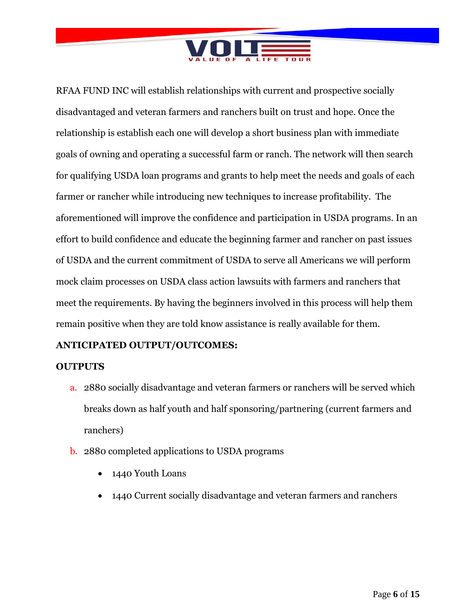

RFAA FUND INC will establish relationships with current and prospective socially disadvantaged and veteran farmers and ranchers built on trust and hope. Once the relationship is establish each one will develop a short business plan with immediate goals of owning and operating a successful farm or ranch. The network will then search for qualifying USDA loan programs and grants to help meet the needs and goals of each farmer or rancher while introducing new techniques to increase profitability. The aforementioned will improve the confidence and participation in USDA programs. In an effort to build confidence and educate the beginning farmer and rancher on past issues of USDA and the current commitment of USDA to serve all Americans we will perform mock claim processes on USDA class action lawsuits with farmers and ranchers that meet the requirements. By having the beginners involved in this process will help them remain positive when they are told know assistance is really available for them.

# **ANTICIPATED OUTPUT/OUTCOMES:**

## **OUTPUTS**

- a. 2880 socially disadvantage and veteran farmers or ranchers will be served which breaks down as half youth and half sponsoring/partnering (current farmers and ranchers)
- b. 2880 completed applications to USDA programs
	- 1440 Youth Loans
	- 1440 Current socially disadvantage and veteran farmers and ranchers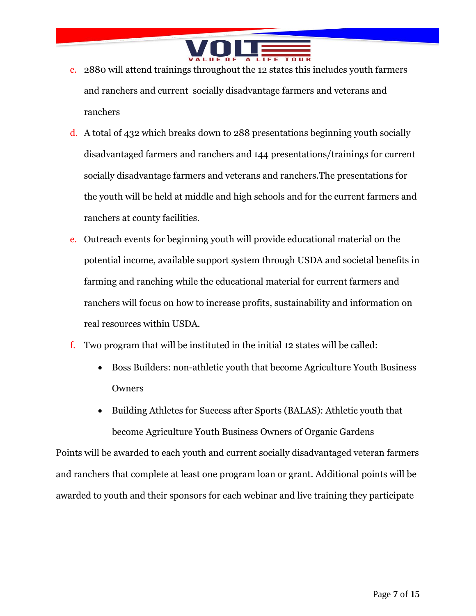

- c. 2880 will attend trainings throughout the 12 states this includes youth farmers and ranchers and current socially disadvantage farmers and veterans and ranchers
- d. A total of 432 which breaks down to 288 presentations beginning youth socially disadvantaged farmers and ranchers and 144 presentations/trainings for current socially disadvantage farmers and veterans and ranchers.The presentations for the youth will be held at middle and high schools and for the current farmers and ranchers at county facilities.
- e. Outreach events for beginning youth will provide educational material on the potential income, available support system through USDA and societal benefits in farming and ranching while the educational material for current farmers and ranchers will focus on how to increase profits, sustainability and information on real resources within USDA.
- f. Two program that will be instituted in the initial 12 states will be called:
	- Boss Builders: non-athletic youth that become Agriculture Youth Business Owners
	- Building Athletes for Success after Sports (BALAS): Athletic youth that become Agriculture Youth Business Owners of Organic Gardens

Points will be awarded to each youth and current socially disadvantaged veteran farmers and ranchers that complete at least one program loan or grant. Additional points will be awarded to youth and their sponsors for each webinar and live training they participate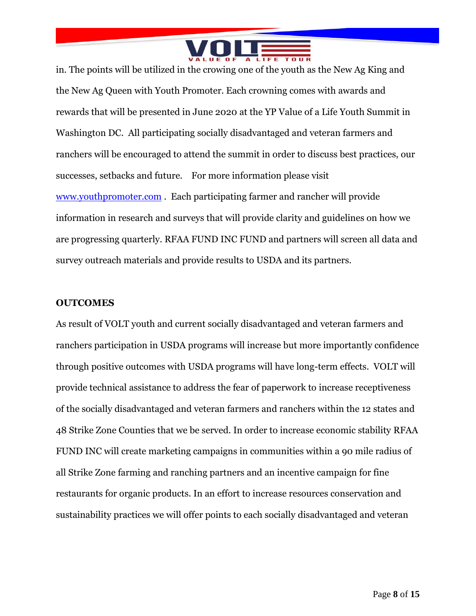

in. The points will be utilized in the crowing one of the youth as the New Ag King and the New Ag Queen with Youth Promoter. Each crowning comes with awards and rewards that will be presented in June 2020 at the YP Value of a Life Youth Summit in Washington DC. All participating socially disadvantaged and veteran farmers and ranchers will be encouraged to attend the summit in order to discuss best practices, our successes, setbacks and future. For more information please visit [www.youthpromoter.com](http://www.youthpromoter.com/) . Each participating farmer and rancher will provide information in research and surveys that will provide clarity and guidelines on how we are progressing quarterly. RFAA FUND INC FUND and partners will screen all data and survey outreach materials and provide results to USDA and its partners.

#### **OUTCOMES**

As result of VOLT youth and current socially disadvantaged and veteran farmers and ranchers participation in USDA programs will increase but more importantly confidence through positive outcomes with USDA programs will have long-term effects. VOLT will provide technical assistance to address the fear of paperwork to increase receptiveness of the socially disadvantaged and veteran farmers and ranchers within the 12 states and 48 Strike Zone Counties that we be served. In order to increase economic stability RFAA FUND INC will create marketing campaigns in communities within a 90 mile radius of all Strike Zone farming and ranching partners and an incentive campaign for fine restaurants for organic products. In an effort to increase resources conservation and sustainability practices we will offer points to each socially disadvantaged and veteran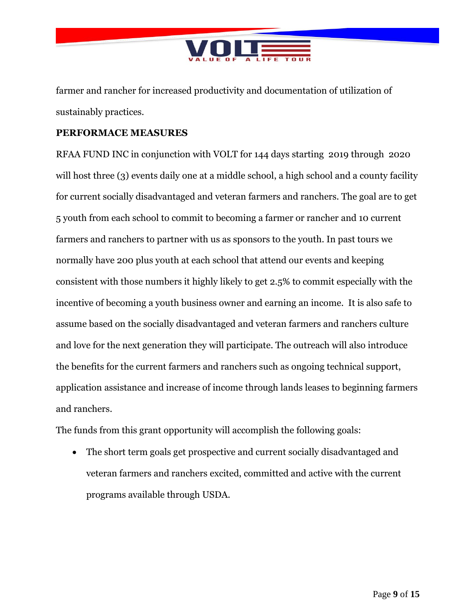

farmer and rancher for increased productivity and documentation of utilization of sustainably practices.

## **PERFORMACE MEASURES**

RFAA FUND INC in conjunction with VOLT for 144 days starting 2019 through 2020 will host three (3) events daily one at a middle school, a high school and a county facility for current socially disadvantaged and veteran farmers and ranchers. The goal are to get 5 youth from each school to commit to becoming a farmer or rancher and 10 current farmers and ranchers to partner with us as sponsors to the youth. In past tours we normally have 200 plus youth at each school that attend our events and keeping consistent with those numbers it highly likely to get 2.5% to commit especially with the incentive of becoming a youth business owner and earning an income. It is also safe to assume based on the socially disadvantaged and veteran farmers and ranchers culture and love for the next generation they will participate. The outreach will also introduce the benefits for the current farmers and ranchers such as ongoing technical support, application assistance and increase of income through lands leases to beginning farmers and ranchers.

The funds from this grant opportunity will accomplish the following goals:

 The short term goals get prospective and current socially disadvantaged and veteran farmers and ranchers excited, committed and active with the current programs available through USDA.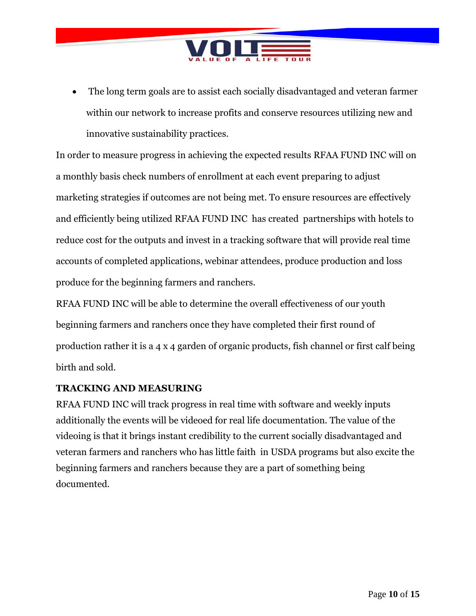

 The long term goals are to assist each socially disadvantaged and veteran farmer within our network to increase profits and conserve resources utilizing new and innovative sustainability practices.

In order to measure progress in achieving the expected results RFAA FUND INC will on a monthly basis check numbers of enrollment at each event preparing to adjust marketing strategies if outcomes are not being met. To ensure resources are effectively and efficiently being utilized RFAA FUND INC has created partnerships with hotels to reduce cost for the outputs and invest in a tracking software that will provide real time accounts of completed applications, webinar attendees, produce production and loss produce for the beginning farmers and ranchers.

RFAA FUND INC will be able to determine the overall effectiveness of our youth beginning farmers and ranchers once they have completed their first round of production rather it is a 4 x 4 garden of organic products, fish channel or first calf being birth and sold.

# **TRACKING AND MEASURING**

RFAA FUND INC will track progress in real time with software and weekly inputs additionally the events will be videoed for real life documentation. The value of the videoing is that it brings instant credibility to the current socially disadvantaged and veteran farmers and ranchers who has little faith in USDA programs but also excite the beginning farmers and ranchers because they are a part of something being documented.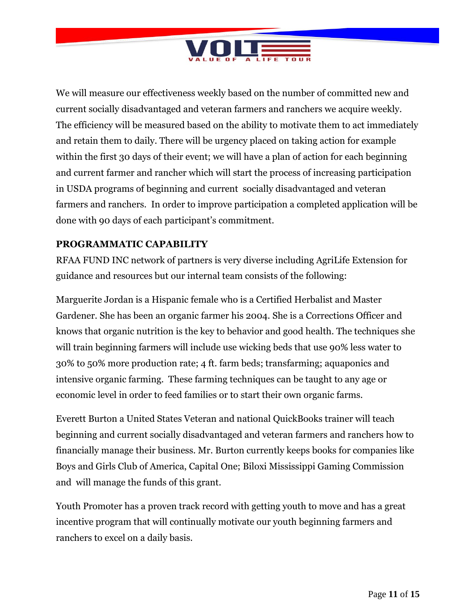

We will measure our effectiveness weekly based on the number of committed new and current socially disadvantaged and veteran farmers and ranchers we acquire weekly. The efficiency will be measured based on the ability to motivate them to act immediately and retain them to daily. There will be urgency placed on taking action for example within the first 30 days of their event; we will have a plan of action for each beginning and current farmer and rancher which will start the process of increasing participation in USDA programs of beginning and current socially disadvantaged and veteran farmers and ranchers. In order to improve participation a completed application will be done with 90 days of each participant's commitment.

# **PROGRAMMATIC CAPABILITY**

RFAA FUND INC network of partners is very diverse including AgriLife Extension for guidance and resources but our internal team consists of the following:

Marguerite Jordan is a Hispanic female who is a Certified Herbalist and Master Gardener. She has been an organic farmer his 2004. She is a Corrections Officer and knows that organic nutrition is the key to behavior and good health. The techniques she will train beginning farmers will include use wicking beds that use 90% less water to 30% to 50% more production rate; 4 ft. farm beds; transfarming; aquaponics and intensive organic farming. These farming techniques can be taught to any age or economic level in order to feed families or to start their own organic farms.

Everett Burton a United States Veteran and national QuickBooks trainer will teach beginning and current socially disadvantaged and veteran farmers and ranchers how to financially manage their business. Mr. Burton currently keeps books for companies like Boys and Girls Club of America, Capital One; Biloxi Mississippi Gaming Commission and will manage the funds of this grant.

Youth Promoter has a proven track record with getting youth to move and has a great incentive program that will continually motivate our youth beginning farmers and ranchers to excel on a daily basis.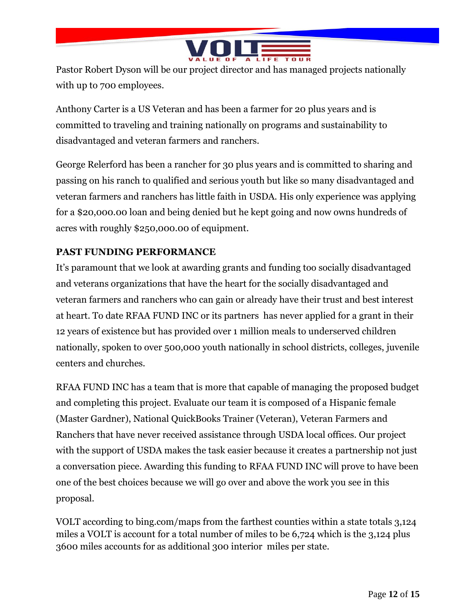

Pastor Robert Dyson will be our project director and has managed projects nationally with up to 700 employees.

Anthony Carter is a US Veteran and has been a farmer for 20 plus years and is committed to traveling and training nationally on programs and sustainability to disadvantaged and veteran farmers and ranchers.

George Relerford has been a rancher for 30 plus years and is committed to sharing and passing on his ranch to qualified and serious youth but like so many disadvantaged and veteran farmers and ranchers has little faith in USDA. His only experience was applying for a \$20,000.00 loan and being denied but he kept going and now owns hundreds of acres with roughly \$250,000.00 of equipment.

# **PAST FUNDING PERFORMANCE**

It's paramount that we look at awarding grants and funding too socially disadvantaged and veterans organizations that have the heart for the socially disadvantaged and veteran farmers and ranchers who can gain or already have their trust and best interest at heart. To date RFAA FUND INC or its partners has never applied for a grant in their 12 years of existence but has provided over 1 million meals to underserved children nationally, spoken to over 500,000 youth nationally in school districts, colleges, juvenile centers and churches.

RFAA FUND INC has a team that is more that capable of managing the proposed budget and completing this project. Evaluate our team it is composed of a Hispanic female (Master Gardner), National QuickBooks Trainer (Veteran), Veteran Farmers and Ranchers that have never received assistance through USDA local offices. Our project with the support of USDA makes the task easier because it creates a partnership not just a conversation piece. Awarding this funding to RFAA FUND INC will prove to have been one of the best choices because we will go over and above the work you see in this proposal.

VOLT according to bing.com/maps from the farthest counties within a state totals 3,124 miles a VOLT is account for a total number of miles to be 6,724 which is the 3,124 plus 3600 miles accounts for as additional 300 interior miles per state.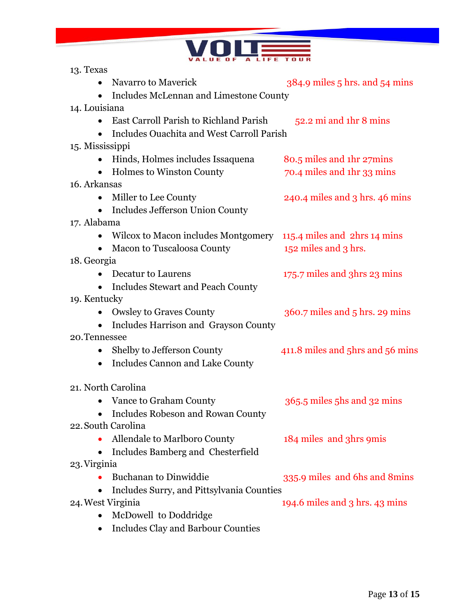

| 13. Texas                                                        |                                    |
|------------------------------------------------------------------|------------------------------------|
| Navarro to Maverick                                              | 384.9 miles 5 hrs. and 54 mins     |
| • Includes McLennan and Limestone County                         |                                    |
| 14. Louisiana                                                    |                                    |
| <b>East Carroll Parish to Richland Parish</b><br>$\bullet$       | $52.2$ mi and 1hr 8 mins           |
| Includes Ouachita and West Carroll Parish                        |                                    |
| 15. Mississippi                                                  |                                    |
| Hinds, Holmes includes Issaquena                                 | 80.5 miles and 1hr 27mins          |
| • Holmes to Winston County                                       | 70.4 miles and 1hr 33 mins         |
| 16. Arkansas                                                     |                                    |
| Miller to Lee County                                             | 240.4 miles and 3 hrs. 46 mins     |
| Includes Jefferson Union County<br>$\bullet$                     |                                    |
| 17. Alabama                                                      |                                    |
| Wilcox to Macon includes Montgomery 115.4 miles and 2hrs 14 mins |                                    |
| Macon to Tuscaloosa County                                       | 152 miles and 3 hrs.               |
| 18. Georgia                                                      |                                    |
| Decatur to Laurens                                               | 175.7 miles and 3hrs 23 mins       |
| • Includes Stewart and Peach County                              |                                    |
| 19. Kentucky                                                     |                                    |
| • Owsley to Graves County                                        | $360.7$ miles and $5$ hrs. 29 mins |
| • Includes Harrison and Grayson County                           |                                    |
| 20. Tennessee                                                    |                                    |
| • Shelby to Jefferson County                                     | 411.8 miles and 5hrs and 56 mins   |
| Includes Cannon and Lake County<br>$\bullet$                     |                                    |
|                                                                  |                                    |
| 21. North Carolina                                               |                                    |
| • Vance to Graham County                                         | 365.5 miles 5hs and 32 mins        |
| Includes Robeson and Rowan County                                |                                    |
| 22. South Carolina                                               |                                    |
| Allendale to Marlboro County                                     | 184 miles and 3hrs 9mis            |
| Includes Bamberg and Chesterfield                                |                                    |
| 23. Virginia                                                     |                                    |
| <b>Buchanan to Dinwiddie</b>                                     | 335.9 miles and 6hs and 8 mins     |
| Includes Surry, and Pittsylvania Counties<br>$\bullet$           |                                    |
| 24. West Virginia                                                | 194.6 miles and 3 hrs. 43 mins     |
| McDowell to Doddridge                                            |                                    |
| <b>Includes Clay and Barbour Counties</b>                        |                                    |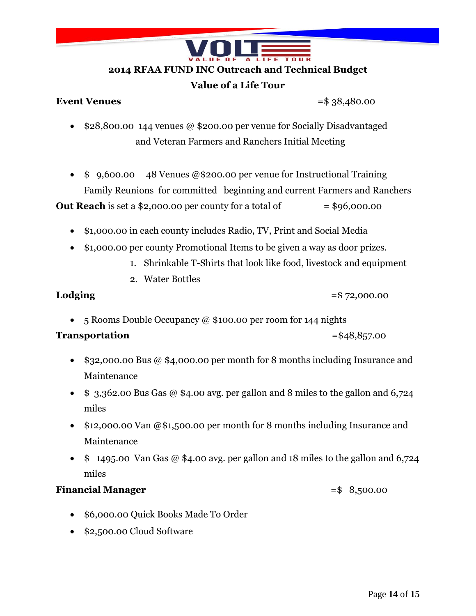

### **2014 RFAA FUND INC Outreach and Technical Budget**

## **Value of a Life Tour**

### **Event Venues** = \$ 38,480.00

- \$28,800.00 144 venues @ \$200.00 per venue for Socially Disadvantaged and Veteran Farmers and Ranchers Initial Meeting
- $\bullet$  \$ 9,600.00 48 Venues @\$200.00 per venue for Instructional Training Family Reunions for committed beginning and current Farmers and Ranchers

**Out Reach** is set a \$2,000.00 per county for a total of  $= $96,000.00$ 

- \$1,000.00 in each county includes Radio, TV, Print and Social Media
- \$1,000.00 per county Promotional Items to be given a way as door prizes.
	- 1. Shrinkable T-Shirts that look like food, livestock and equipment
	- 2. Water Bottles

**Lodging**  $=$  \$72,000.00

• 5 Rooms Double Occupancy @ \$100.00 per room for 144 nights

# **Transportation** = \$48,857.00

- $\bullet$  \$32,000.00 Bus @ \$4,000.00 per month for 8 months including Insurance and Maintenance
- $\bullet$  \$ 3,362.00 Bus Gas @ \$4.00 avg. per gallon and 8 miles to the gallon and 6,724 miles
- \$12,000.00 Van @\$1,500.00 per month for 8 months including Insurance and Maintenance
- $\bullet$  \$ 1495.00 Van Gas @ \$4.00 avg. per gallon and 18 miles to the gallon and 6,724 miles

# **Financial Manager**   $=$  \$ 8,500.00

- \$6,000.00 Quick Books Made To Order
- \$2,500.00 Cloud Software